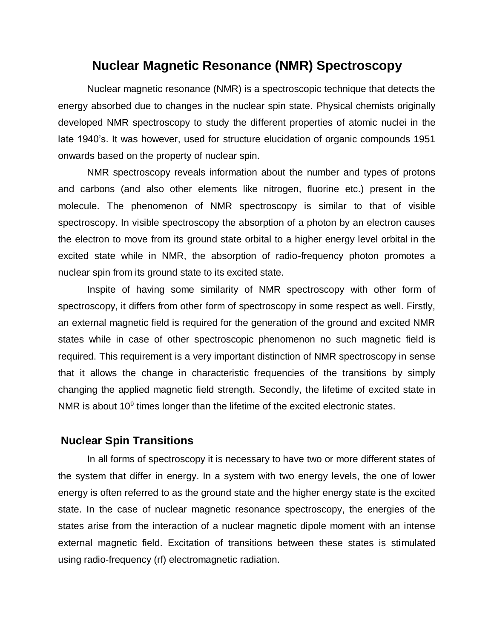# **Nuclear Magnetic Resonance (NMR) Spectroscopy**

Nuclear magnetic resonance (NMR) is a spectroscopic technique that detects the energy absorbed due to changes in the nuclear spin state. Physical chemists originally developed NMR spectroscopy to study the different properties of atomic nuclei in the late 1940's. It was however, used for structure elucidation of organic compounds 1951 onwards based on the property of nuclear spin.

NMR spectroscopy reveals information about the number and types of protons and carbons (and also other elements like nitrogen, fluorine etc.) present in the molecule. The phenomenon of NMR spectroscopy is similar to that of visible spectroscopy. In visible spectroscopy the absorption of a photon by an electron causes the electron to move from its ground state orbital to a higher energy level orbital in the excited state while in NMR, the absorption of radio-frequency photon promotes a nuclear spin from its ground state to its excited state.

Inspite of having some similarity of NMR spectroscopy with other form of spectroscopy, it differs from other form of spectroscopy in some respect as well. Firstly, an external magnetic field is required for the generation of the ground and excited NMR states while in case of other spectroscopic phenomenon no such magnetic field is required. This requirement is a very important distinction of NMR spectroscopy in sense that it allows the change in characteristic frequencies of the transitions by simply changing the applied magnetic field strength. Secondly, the lifetime of excited state in NMR is about  $10<sup>9</sup>$  times longer than the lifetime of the excited electronic states.

# **Nuclear Spin Transitions**

In all forms of spectroscopy it is necessary to have two or more different states of the system that differ in energy. In a system with two energy levels, the one of lower energy is often referred to as the ground state and the higher energy state is the excited state. In the case of nuclear magnetic resonance spectroscopy, the energies of the states arise from the interaction of a nuclear magnetic dipole moment with an intense external magnetic field. Excitation of transitions between these states is stimulated using radio-frequency (rf) electromagnetic radiation.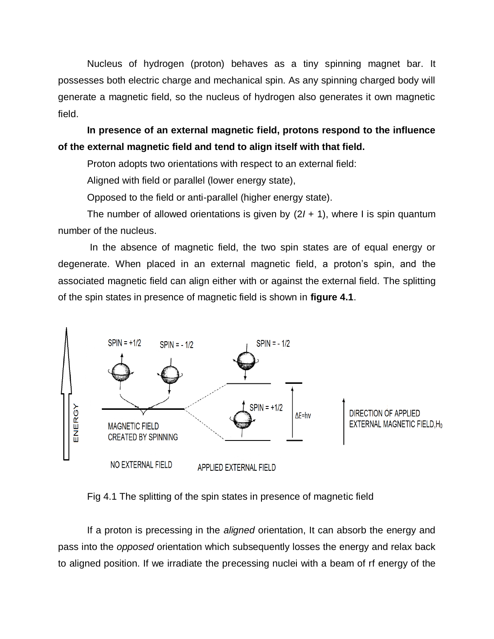Nucleus of hydrogen (proton) behaves as a tiny spinning magnet bar. It possesses both electric charge and mechanical spin. As any spinning charged body will generate a magnetic field, so the nucleus of hydrogen also generates it own magnetic field.

**In presence of an external magnetic field, protons respond to the influence of the external magnetic field and tend to align itself with that field.**

Proton adopts two orientations with respect to an external field:

Aligned with field or parallel (lower energy state),

Opposed to the field or anti-parallel (higher energy state).

The number of allowed orientations is given by (2*I* + 1), where I is spin quantum number of the nucleus.

In the absence of magnetic field, the two spin states are of equal energy or degenerate. When placed in an external magnetic field, a proton's spin, and the associated magnetic field can align either with or against the external field. The splitting of the spin states in presence of magnetic field is shown in **figure 4.1**.



Fig 4.1 The splitting of the spin states in presence of magnetic field

If a proton is precessing in the *aligned* orientation, It can absorb the energy and pass into the *opposed* orientation which subsequently losses the energy and relax back to aligned position. If we irradiate the precessing nuclei with a beam of rf energy of the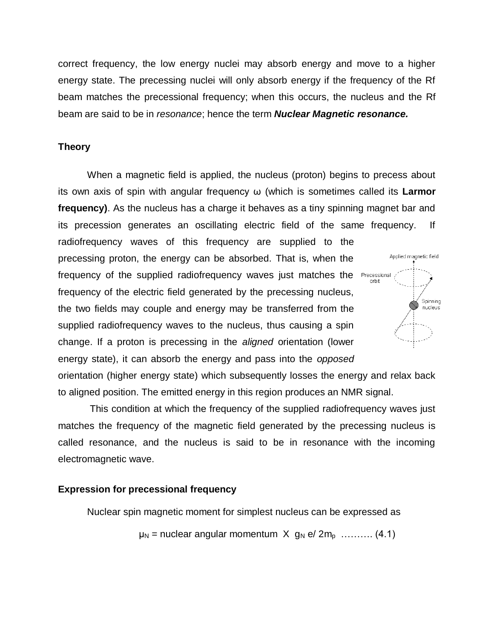correct frequency, the low energy nuclei may absorb energy and move to a higher energy state. The precessing nuclei will only absorb energy if the frequency of the Rf beam matches the precessional frequency; when this occurs, the nucleus and the Rf beam are said to be in *resonance*; hence the term *Nuclear Magnetic resonance.*

### **Theory**

When a magnetic field is applied, the nucleus (proton) begins to precess about its own axis of spin with angular frequency ω (which is sometimes called its **Larmor frequency)**. As the nucleus has a charge it behaves as a tiny spinning magnet bar and its precession generates an oscillating electric field of the same frequency. If

radiofrequency waves of this frequency are supplied to the precessing proton, the energy can be absorbed. That is, when the frequency of the supplied radiofrequency waves just matches the frequency of the electric field generated by the precessing nucleus, the two fields may couple and energy may be transferred from the supplied radiofrequency waves to the nucleus, thus causing a spin change. If a proton is precessing in the *aligned* orientation (lower energy state), it can absorb the energy and pass into the *opposed*



orientation (higher energy state) which subsequently losses the energy and relax back to aligned position. The emitted energy in this region produces an NMR signal.

This condition at which the frequency of the supplied radiofrequency waves just matches the frequency of the magnetic field generated by the precessing nucleus is called resonance, and the nucleus is said to be in resonance with the incoming electromagnetic wave.

### **Expression for precessional frequency**

Nuclear spin magnetic moment for simplest nucleus can be expressed as

 $\mu_N$  = nuclear angular momentum  $X$  g<sub>N</sub> e/  $2m_p$  ………. (4.1)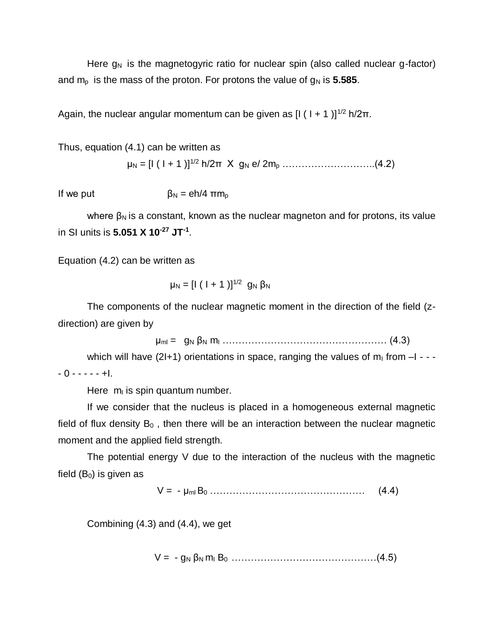Here  $g_N$  is the magnetogyric ratio for nuclear spin (also called nuclear g-factor) and  $m<sub>p</sub>$  is the mass of the proton. For protons the value of  $q<sub>N</sub>$  is **5.585**.

Again, the nuclear angular momentum can be given as  $[I (1 + 1)]^{1/2} h/2\pi$ .

Thus, equation (4.1) can be written as

μ<sup>N</sup> = [I ( I + 1 )]1/2 h/2π X g<sup>N</sup> e/ 2m<sup>p</sup> ………………………..(4.2)

If we put  $\beta_N = e h/4 \pi m_p$ 

where  $\beta_N$  is a constant, known as the nuclear magneton and for protons, its value in SI units is **5.051 X 10-27 JT-1** .

Equation (4.2) can be written as

$$
\mu_N = [l (l + 1)]^{1/2} g_N \beta_N
$$

The components of the nuclear magnetic moment in the direction of the field (zdirection) are given by

μml = g<sup>N</sup> β<sup>N</sup> m<sup>I</sup> …………………………………………… (4.3)

which will have (2I+1) orientations in space, ranging the values of  $m_1$  from  $-I - -0$  - - - -  $+1$ .

Here  $m<sub>l</sub>$  is spin quantum number.

If we consider that the nucleus is placed in a homogeneous external magnetic field of flux density  $B_0$ , then there will be an interaction between the nuclear magnetic moment and the applied field strength.

The potential energy V due to the interaction of the nucleus with the magnetic field  $(B<sub>0</sub>)$  is given as

 $V = -\mu_{m1} B_0 \dots \dots \dots \dots \dots \dots \dots \dots \dots \dots \dots \tag{4.4}$ 

Combining (4.3) and (4.4), we get

 $V = -g_N \beta_N m_1 B_0 \dots m_{N-1} m_1$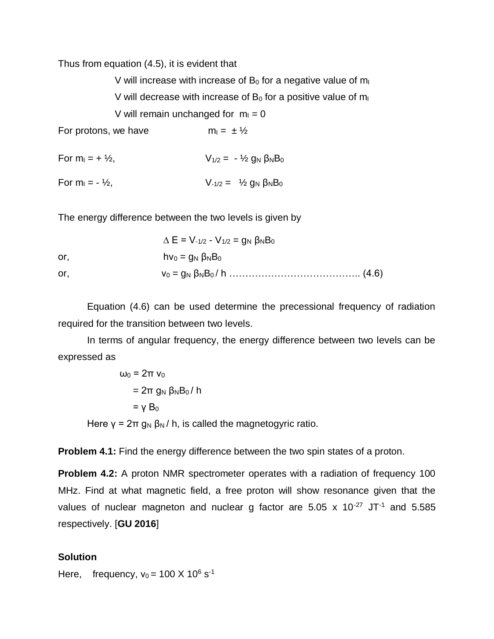Thus from equation (4.5), it is evident that

V will increase with increase of  $B_0$  for a negative value of  $m<sub>1</sub>$ V will decrease with increase of  $B_0$  for a positive value of  $m<sub>1</sub>$ V will remain unchanged for  $m_1 = 0$ For protons, we have  $m_1 = \pm \frac{1}{2}$ For  $m_1 = + \frac{1}{2}$ ,  $V_{1/2} = - \frac{1}{2} g_N \beta_N B_0$ 

For  $m_1 = - V_2$ ,  $V_{-1/2} = V_2 g_N g_N B_0$ 

The energy difference between the two levels is given by

|     | $\Delta E = V_{-1/2} - V_{1/2} = g_N \beta_N B_0$ |  |
|-----|---------------------------------------------------|--|
| or. | hv $_0 = g_N \beta_N B_0$                         |  |
| or. |                                                   |  |

Equation (4.6) can be used determine the precessional frequency of radiation required for the transition between two levels.

In terms of angular frequency, the energy difference between two levels can be expressed as

$$
\omega_0 = 2\pi v_0
$$
  
= 2\pi g\_N \beta\_N B\_0 / h  
= \gamma B\_0

Here  $y = 2\pi g_N \beta_N / h$ , is called the magnetogyric ratio.

**Problem 4.1:** Find the energy difference between the two spin states of a proton.

**Problem 4.2:** A proton NMR spectrometer operates with a radiation of frequency 100 MHz. Find at what magnetic field, a free proton will show resonance given that the values of nuclear magneton and nuclear g factor are  $5.05 \times 10^{-27}$  JT<sup>-1</sup> and  $5.585$ respectively. [**GU 2016**]

### **Solution**

Here, frequency,  $v_0 = 100 \text{ X } 10^6 \text{ s}^{-1}$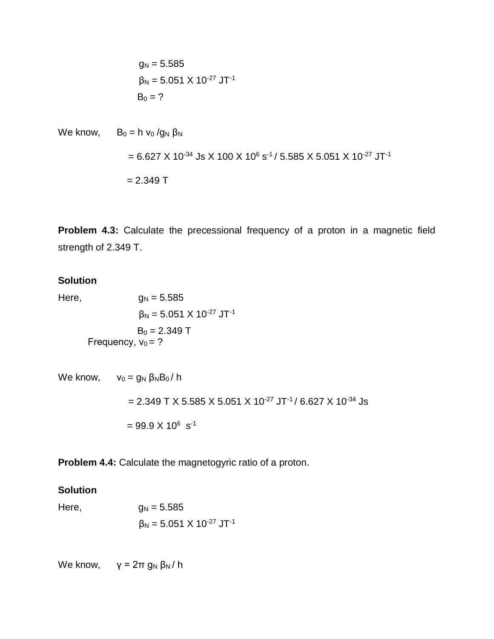$$
g_N = 5.585
$$

$$
\beta_N = 5.051 \times 10^{-27} \text{ JT}^{-1}
$$

$$
B_0 = ?
$$

We know, 
$$
B_0 = h v_0 / g_N \beta_N
$$
  
= 6.627 X 10<sup>-34</sup> JS X 100 X 10<sup>6</sup> s<sup>-1</sup>/ 5.585 X 5.051 X 10<sup>-27</sup> JT<sup>-1</sup>  
= 2.349 T

**Problem 4.3:** Calculate the precessional frequency of a proton in a magnetic field strength of 2.349 T.

# **Solution**

Here,  $g_N = 5.585$  $β<sub>N</sub> = 5.051 X 10<sup>-27</sup> JT<sup>-1</sup>$  $B_0 = 2.349$  T Frequency,  $v_0 = ?$ 

```
We know, v_0 = g_N \beta_N B_0 / h= 2.349 T X 5.585 X 5.051 X 10<sup>-27</sup> JT<sup>-1</sup> / 6.627 X 10<sup>-34</sup> Js
             = 99.9 \times 10^6 \text{ s}^{-1}
```
**Problem 4.4:** Calculate the magnetogyric ratio of a proton.

# **Solution**

Here,  $g_N = 5.585$  $β<sub>N</sub> = 5.051 X 10<sup>-27</sup> JT<sup>-1</sup>$ 

We know,  $\gamma = 2\pi g_N \beta_N / h$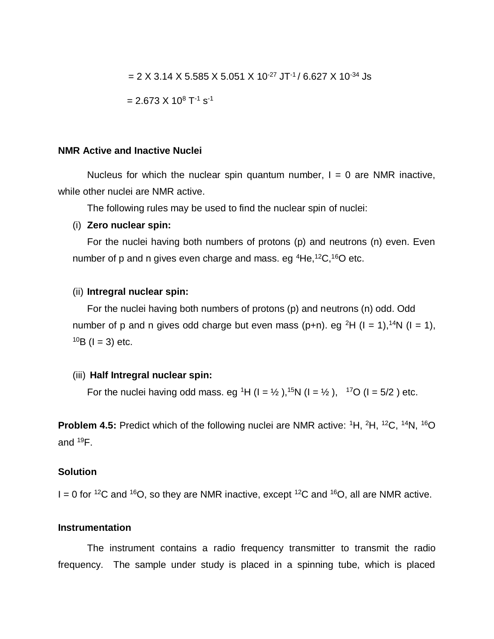= 2 X 3.14 X 5.585 X 5.051 X 10<sup>-27</sup> JT<sup>-1</sup> / 6.627 X 10<sup>-34</sup> Js

$$
= 2.673 \times 10^8 \text{ T}^{-1} \text{ s}^{-1}
$$

### **NMR Active and Inactive Nuclei**

Nucleus for which the nuclear spin quantum number,  $I = 0$  are NMR inactive, while other nuclei are NMR active.

The following rules may be used to find the nuclear spin of nuclei:

#### (i) **Zero nuclear spin:**

For the nuclei having both numbers of protons (p) and neutrons (n) even. Even number of p and n gives even charge and mass. eg  ${}^{4}$ He, ${}^{12}$ C, ${}^{16}$ O etc.

#### (ii) **Intregral nuclear spin:**

For the nuclei having both numbers of protons (p) and neutrons (n) odd. Odd number of p and n gives odd charge but even mass (p+n). eg <sup>2</sup>H (I = 1),<sup>14</sup>N (I = 1),  $10B$  (I = 3) etc.

#### (iii) **Half Intregral nuclear spin:**

For the nuclei having odd mass. eg <sup>1</sup>H (I =  $\frac{1}{2}$ ),<sup>15</sup>N (I =  $\frac{1}{2}$ ), <sup>17</sup>O (I = 5/2) etc.

**Problem 4.5:** Predict which of the following nuclei are NMR active: <sup>1</sup>H, <sup>2</sup>H, <sup>12</sup>C, <sup>14</sup>N, <sup>16</sup>O and  $^{19}F$ .

### **Solution**

 $I = 0$  for <sup>12</sup>C and <sup>16</sup>O, so they are NMR inactive, except <sup>12</sup>C and <sup>16</sup>O, all are NMR active.

#### **Instrumentation**

The instrument contains a radio frequency transmitter to transmit the radio frequency. The sample under study is placed in a spinning tube, which is placed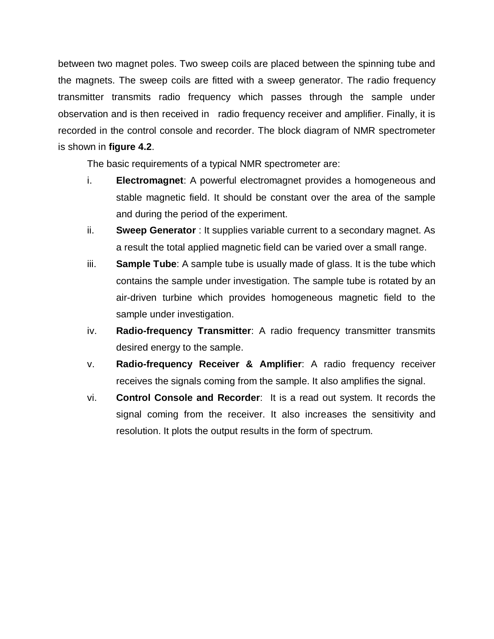between two magnet poles. Two sweep coils are placed between the spinning tube and the magnets. The sweep coils are fitted with a sweep generator. The radio frequency transmitter transmits radio frequency which passes through the sample under observation and is then received in radio frequency receiver and amplifier. Finally, it is recorded in the control console and recorder. The block diagram of NMR spectrometer is shown in **figure 4.2**.

The basic requirements of a typical NMR spectrometer are:

- i. **Electromagnet**: A powerful electromagnet provides a homogeneous and stable magnetic field. It should be constant over the area of the sample and during the period of the experiment.
- ii. **Sweep Generator** : It supplies variable current to a secondary magnet. As a result the total applied magnetic field can be varied over a small range.
- iii. **Sample Tube**: A sample tube is usually made of glass. It is the tube which contains the sample under investigation. The sample tube is rotated by an air-driven turbine which provides homogeneous magnetic field to the sample under investigation.
- iv. **Radio-frequency Transmitter**: A radio frequency transmitter transmits desired energy to the sample.
- v. **Radio-frequency Receiver & Amplifier**: A radio frequency receiver receives the signals coming from the sample. It also amplifies the signal.
- vi. **Control Console and Recorder**: It is a read out system. It records the signal coming from the receiver. It also increases the sensitivity and resolution. It plots the output results in the form of spectrum.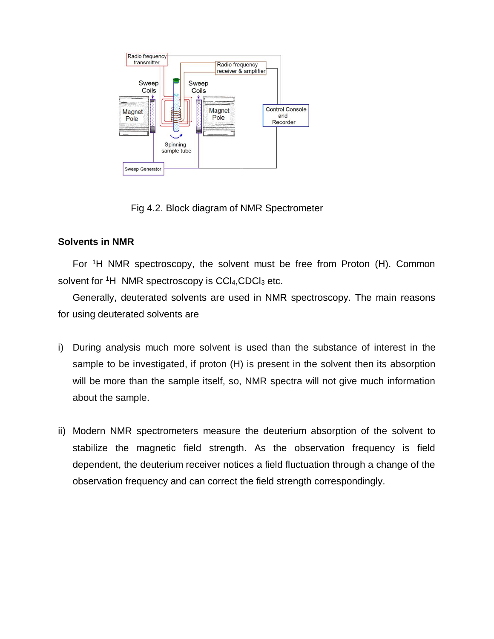

Fig 4.2. Block diagram of NMR Spectrometer

# **Solvents in NMR**

For <sup>1</sup>H NMR spectroscopy, the solvent must be free from Proton (H). Common solvent for  ${}^{1}H$  NMR spectroscopy is CCl<sub>4</sub>, CDCl<sub>3</sub> etc.

Generally, deuterated solvents are used in NMR spectroscopy. The main reasons for using deuterated solvents are

- i) During analysis much more solvent is used than the substance of interest in the sample to be investigated, if proton (H) is present in the solvent then its absorption will be more than the sample itself, so, NMR spectra will not give much information about the sample.
- ii) Modern NMR spectrometers measure the deuterium absorption of the solvent to stabilize the magnetic field strength. As the observation frequency is field dependent, the deuterium receiver notices a field fluctuation through a change of the observation frequency and can correct the field strength correspondingly.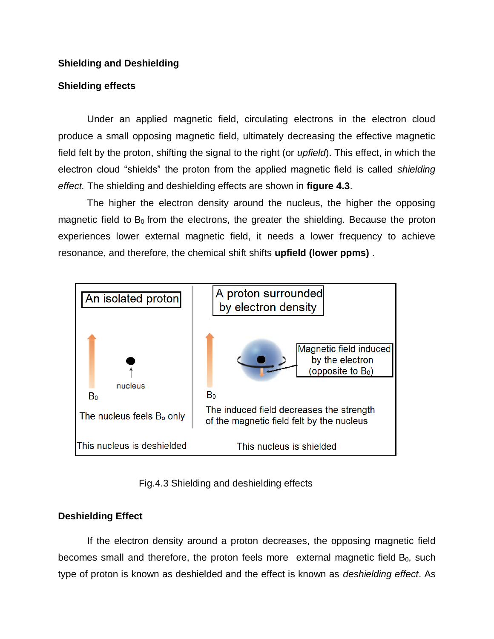# **Shielding and Deshielding**

# **Shielding effects**

Under an applied magnetic field, circulating electrons in the electron cloud produce a small opposing magnetic field, ultimately decreasing the effective magnetic field felt by the proton, shifting the signal to the right (or *upfield*). This effect, in which the electron cloud "shields" the proton from the applied magnetic field is called *shielding effect.* The shielding and deshielding effects are shown in **figure 4.3**.

The higher the electron density around the nucleus, the higher the opposing magnetic field to  $B_0$  from the electrons, the greater the shielding. Because the proton experiences lower external magnetic field, it needs a lower frequency to achieve resonance, and therefore, the chemical shift shifts **upfield (lower ppms)** .



Fig.4.3 Shielding and deshielding effects

# **Deshielding Effect**

If the electron density around a proton decreases, the opposing magnetic field becomes small and therefore, the proton feels more external magnetic field  $B_0$ , such type of proton is known as deshielded and the effect is known as *deshielding effect*. As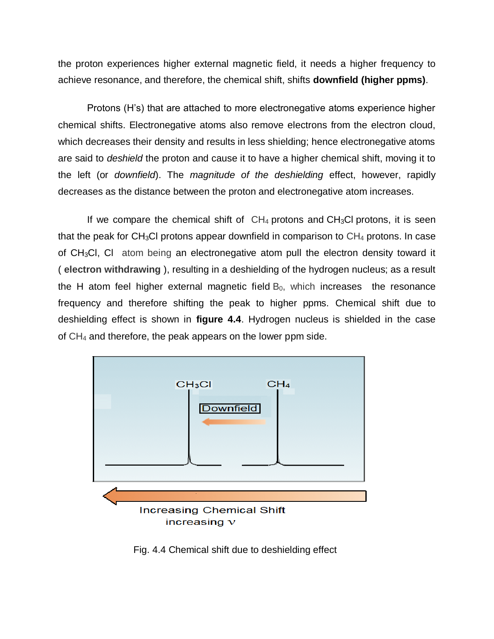the proton experiences higher external magnetic field, it needs a higher frequency to achieve resonance, and therefore, the chemical shift, shifts **downfield (higher ppms)**.

Protons (H's) that are attached to more electronegative atoms experience higher chemical shifts. Electronegative atoms also remove electrons from the electron cloud, which decreases their density and results in less shielding; hence electronegative atoms are said to *deshield* the proton and cause it to have a higher chemical shift, moving it to the left (or *downfield*). The *magnitude of the deshielding* effect, however, rapidly decreases as the distance between the proton and electronegative atom increases.

If we compare the chemical shift of  $CH_4$  protons and  $CH_3Cl$  protons, it is seen that the peak for CH<sub>3</sub>Cl protons appear downfield in comparison to  $CH_4$  protons. In case of CH3Cl, Cl atom being an electronegative atom pull the electron density toward it ( **electron withdrawing** ), resulting in a deshielding of the hydrogen nucleus; as a result the H atom feel higher external magnetic field  $B_0$ , which increases the resonance frequency and therefore shifting the peak to higher ppms. Chemical shift due to deshielding effect is shown in **figure 4.4**. Hydrogen nucleus is shielded in the case of CH<sup>4</sup> and therefore, the peak appears on the lower ppm side.



Fig. 4.4 Chemical shift due to deshielding effect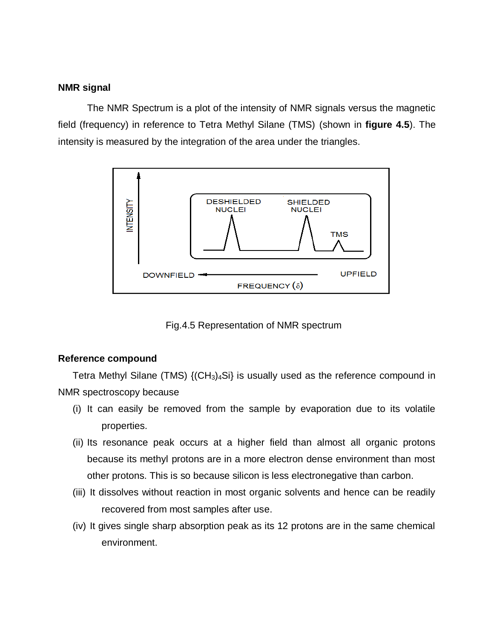### **NMR signal**

The NMR Spectrum is a plot of the intensity of NMR signals versus the magnetic field (frequency) in reference to Tetra Methyl Silane (TMS) (shown in **figure 4.5**). The intensity is measured by the integration of the area under the triangles.



Fig.4.5 Representation of NMR spectrum

# **Reference compound**

Tetra Methyl Silane (TMS)  $\{(\text{CH}_3)_4\}$  is usually used as the reference compound in NMR spectroscopy because

- (i) It can easily be removed from the sample by evaporation due to its volatile properties.
- (ii) Its resonance peak occurs at a higher field than almost all organic protons because its methyl protons are in a more electron dense environment than most other protons. This is so because silicon is less electronegative than carbon.
- (iii) It dissolves without reaction in most organic solvents and hence can be readily recovered from most samples after use.
- (iv) It gives single sharp absorption peak as its 12 protons are in the same chemical environment.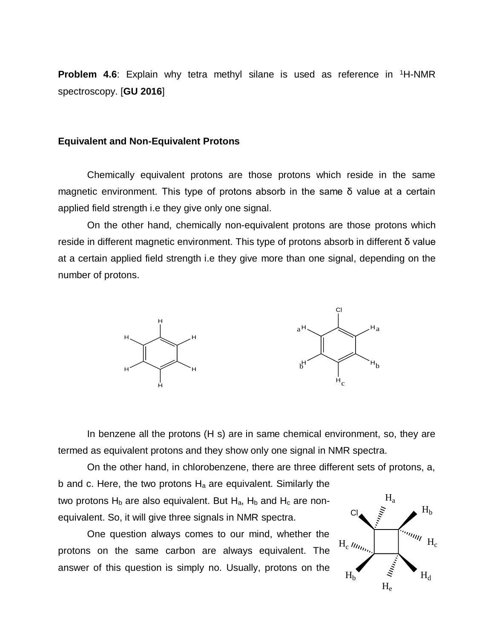**Problem 4.6**: Explain why tetra methyl silane is used as reference in <sup>1</sup>H-NMR spectroscopy. [**GU 2016**]

#### **Equivalent and Non-Equivalent Protons**

Chemically equivalent protons are those protons which reside in the same magnetic environment. This type of protons absorb in the same δ value at a certain applied field strength i.e they give only one signal.

On the other hand, chemically non-equivalent protons are those protons which reside in different magnetic environment. This type of protons absorb in different δ value at a certain applied field strength i.e they give more than one signal, depending on the number of protons.



In benzene all the protons (H s) are in same chemical environment, so, they are termed as equivalent protons and they show only one signal in NMR spectra.

On the other hand, in chlorobenzene, there are three different sets of protons, a, b and c. Here, the two protons  $H_a$  are equivalent. Similarly the two protons  $H_b$  are also equivalent. But  $H_a$ ,  $H_b$  and  $H_c$  are nonequivalent. So, it will give three signals in NMR spectra.  $Cl<sub>a</sub>$  $H<sub>a</sub>$ 

One question always comes to our mind, whether the protons on the same carbon are always equivalent. The answer of this question is simply no. Usually, protons on the

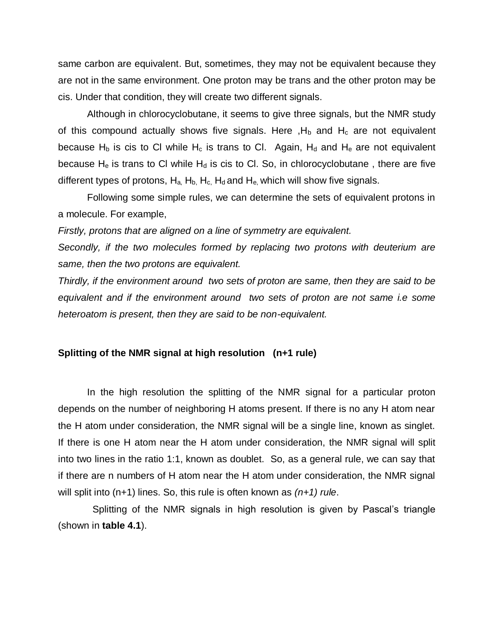same carbon are equivalent. But, sometimes, they may not be equivalent because they are not in the same environment. One proton may be trans and the other proton may be cis. Under that condition, they will create two different signals.

Although in chlorocyclobutane, it seems to give three signals, but the NMR study of this compound actually shows five signals. Here  $H_b$  and  $H_c$  are not equivalent because H<sub>b</sub> is cis to CI while H<sub>c</sub> is trans to CI. Again, H<sub>d</sub> and H<sub>e</sub> are not equivalent because  $H_e$  is trans to CI while  $H_d$  is cis to CI. So, in chlorocyclobutane, there are five different types of protons,  $H_a$ ,  $H_b$ ,  $H_c$ ,  $H_d$  and  $H_e$ , which will show five signals.

Following some simple rules, we can determine the sets of equivalent protons in a molecule. For example,

*Firstly, protons that are aligned on a line of symmetry are equivalent.* 

*Secondly, if the two molecules formed by replacing two protons with deuterium are same, then the two protons are equivalent.* 

*Thirdly, if the environment around two sets of proton are same, then they are said to be equivalent and if the environment around two sets of proton are not same i.e some heteroatom is present, then they are said to be non-equivalent.*

#### **Splitting of the NMR signal at high resolution (n+1 rule)**

In the high resolution the splitting of the NMR signal for a particular proton depends on the number of neighboring H atoms present. If there is no any H atom near the H atom under consideration, the NMR signal will be a single line, known as singlet. If there is one H atom near the H atom under consideration, the NMR signal will split into two lines in the ratio 1:1, known as doublet. So, as a general rule, we can say that if there are n numbers of H atom near the H atom under consideration, the NMR signal will split into (n+1) lines. So, this rule is often known as *(n+1) rule*.

 Splitting of the NMR signals in high resolution is given by Pascal's triangle (shown in **table 4.1**).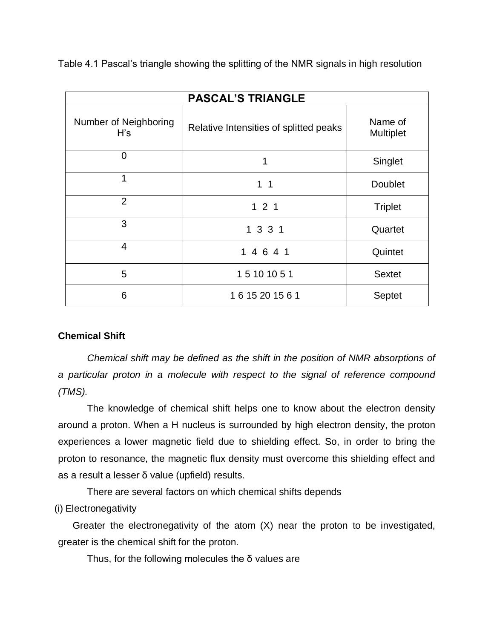Table 4.1 Pascal's triangle showing the splitting of the NMR signals in high resolution

| <b>PASCAL'S TRIANGLE</b>     |                                        |                             |  |  |  |
|------------------------------|----------------------------------------|-----------------------------|--|--|--|
| Number of Neighboring<br>H's | Relative Intensities of splitted peaks | Name of<br><b>Multiplet</b> |  |  |  |
| $\overline{0}$               | 1                                      | Singlet                     |  |  |  |
| $\mathbf 1$                  | 1 <sub>1</sub>                         | <b>Doublet</b>              |  |  |  |
| $\overline{2}$               | 121                                    | <b>Triplet</b>              |  |  |  |
| 3                            | 1 3 3 1                                | Quartet                     |  |  |  |
| $\overline{4}$               | 1 4 6 4 1                              | Quintet                     |  |  |  |
| 5                            | 15 10 10 5 1                           | <b>Sextet</b>               |  |  |  |
| 6                            | 1615201561                             | Septet                      |  |  |  |

# **Chemical Shift**

*Chemical shift may be defined as the shift in the position of NMR absorptions of a particular proton in a molecule with respect to the signal of reference compound (TMS).*

The knowledge of chemical shift helps one to know about the electron density around a proton. When a H nucleus is surrounded by high electron density, the proton experiences a lower magnetic field due to shielding effect. So, in order to bring the proton to resonance, the magnetic flux density must overcome this shielding effect and as a result a lesser δ value (upfield) results.

There are several factors on which chemical shifts depends

(i) Electronegativity

Greater the electronegativity of the atom (X) near the proton to be investigated, greater is the chemical shift for the proton.

Thus, for the following molecules the  $\delta$  values are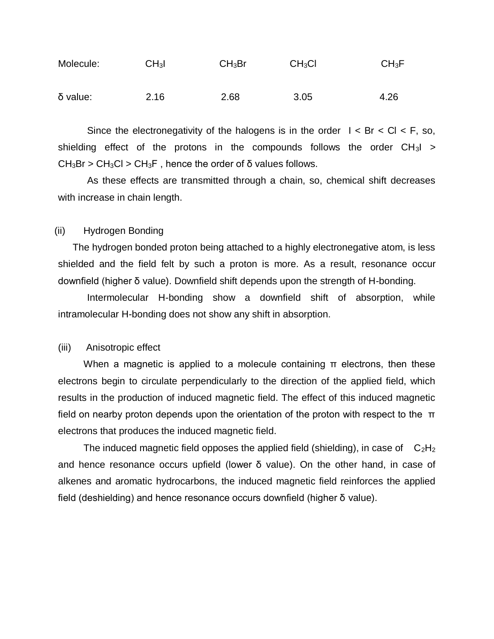| Molecule:  | CH <sub>3</sub> I | CH <sub>3</sub> Br | CH <sub>3</sub> Cl | $CH_3F$ |
|------------|-------------------|--------------------|--------------------|---------|
| $δ$ value: | 2.16              | 2.68               | 3.05               | 4.26    |

Since the electronegativity of the halogens is in the order  $1 < Br < Cl < F$ , so, shielding effect of the protons in the compounds follows the order  $CH_3I >$  $CH<sub>3</sub>Br > CH<sub>3</sub>Cl > CH<sub>3</sub>F$ , hence the order of δ values follows.

As these effects are transmitted through a chain, so, chemical shift decreases with increase in chain length.

### (ii) Hydrogen Bonding

The hydrogen bonded proton being attached to a highly electronegative atom, is less shielded and the field felt by such a proton is more. As a result, resonance occur downfield (higher δ value). Downfield shift depends upon the strength of H-bonding.

Intermolecular H-bonding show a downfield shift of absorption, while intramolecular H-bonding does not show any shift in absorption.

#### (iii) Anisotropic effect

When a magnetic is applied to a molecule containing  $\pi$  electrons, then these electrons begin to circulate perpendicularly to the direction of the applied field, which results in the production of induced magnetic field. The effect of this induced magnetic field on nearby proton depends upon the orientation of the proton with respect to the  $π$ electrons that produces the induced magnetic field.

The induced magnetic field opposes the applied field (shielding), in case of  $C_2H_2$ and hence resonance occurs upfield (lower δ value). On the other hand, in case of alkenes and aromatic hydrocarbons, the induced magnetic field reinforces the applied field (deshielding) and hence resonance occurs downfield (higher δ value).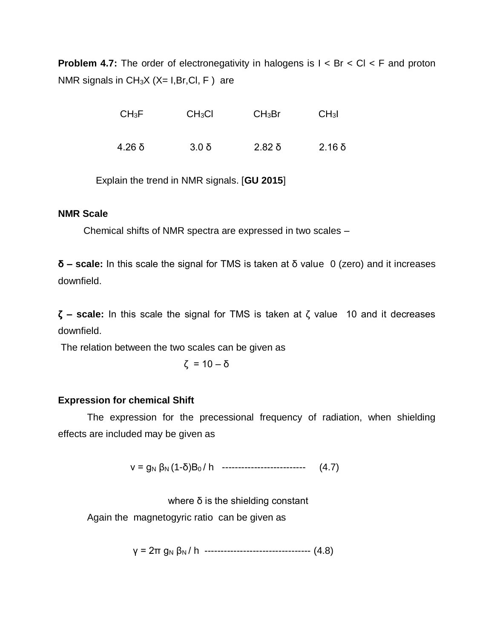**Problem 4.7:** The order of electronegativity in halogens is  $I < Br < Cl < F$  and proton NMR signals in  $CH_3X$  ( $X= I, Br, Cl, F$ ) are

| $CH_3F$  | CH <sub>3</sub> Cl | CH <sub>3</sub> Br | CH <sub>3</sub> I |
|----------|--------------------|--------------------|-------------------|
| $4.26$ δ | $3.0\delta$        | $2.82$ δ           | $2.16\delta$      |

Explain the trend in NMR signals. [**GU 2015**]

# **NMR Scale**

Chemical shifts of NMR spectra are expressed in two scales –

**δ – scale:** In this scale the signal for TMS is taken at δ value 0 (zero) and it increases downfield.

**ζ – scale:** In this scale the signal for TMS is taken at ζ value 10 and it decreases downfield.

The relation between the two scales can be given as

$$
\zeta = 10 - \delta
$$

# **Expression for chemical Shift**

The expression for the precessional frequency of radiation, when shielding effects are included may be given as

 $v = g_N \beta_N (1-\delta)B_0 / h$  ---------------------------- (4.7)

where  $\delta$  is the shielding constant

Again the magnetogyric ratio can be given as

γ = 2π g<sup>N</sup> β<sup>N</sup> / h --------------------------------- (4.8)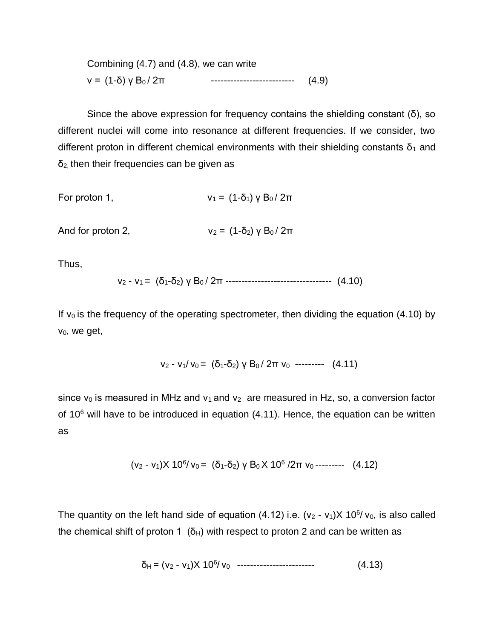Combining (4.7) and (4.8), we can write ν = (1-δ) γ B<sup>0</sup> / 2π -------------------------- (4.9)

Since the above expression for frequency contains the shielding constant  $(\delta)$ , so different nuclei will come into resonance at different frequencies. If we consider, two different proton in different chemical environments with their shielding constants  $\delta_1$  and  $δ<sub>2</sub>$ , then their frequencies can be given as

For proton 1, 
$$
v_1 = (1-\delta_1) \gamma B_0 / 2\pi
$$

And for proton 2,  $v_2 = (1-\delta_2)$   $\gamma B_0 / 2\pi$ 

Thus,

$$
v_2 - v_1 = (\delta_1 - \delta_2) \gamma B_0 / 2\pi \dots \dots \dots \dots \dots \dots \dots \dots \dots \dots \dots \quad (4.10)
$$

If  $v_0$  is the frequency of the operating spectrometer, then dividing the equation (4.10) by ν0, we get,

$$
v_2 - v_1/v_0 = (\delta_1 - \delta_2) \gamma B_0 / 2\pi v_0
$$

since  $v_0$  is measured in MHz and  $v_1$  and  $v_2$  are measured in Hz, so, a conversion factor of  $10^6$  will have to be introduced in equation  $(4.11)$ . Hence, the equation can be written as

$$
(v_2 - v_1)X 10^6/v_0 = (\delta_1 - \delta_2) y B_0 X 10^6 / 2\pi v_0 \cdots (4.12)
$$

The quantity on the left hand side of equation  $(4.12)$  i.e.  $(v_2 - v_1)X 10^6/v_0$ , is also called the chemical shift of proton 1 ( $\delta$ <sub>H</sub>) with respect to proton 2 and can be written as

 δH = (ν<sup>2</sup> - ν1)X 10<sup>6</sup> / ν0 ------------------------ (4.13)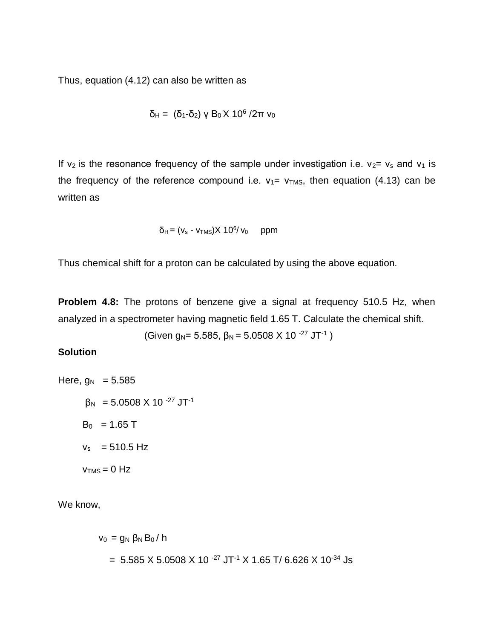Thus, equation (4.12) can also be written as

$$
\delta_{H} = (\delta_{1} - \delta_{2}) \gamma B_{0} \times 10^{6} / 2\pi v_{0}
$$

If  $v_2$  is the resonance frequency of the sample under investigation i.e.  $v_2 = v_s$  and  $v_1$  is the frequency of the reference compound i.e.  $v_1 = v_{TMS}$ , then equation (4.13) can be written as

$$
\delta_{H} = (v_{s} - v_{TMS})X 10^{6}/v_{0} \quad ppm
$$

Thus chemical shift for a proton can be calculated by using the above equation.

**Problem 4.8:** The protons of benzene give a signal at frequency 510.5 Hz, when analyzed in a spectrometer having magnetic field 1.65 T. Calculate the chemical shift.

(Given  $g_N$ = 5.585,  $\beta_N$  = 5.0508 X 10 <sup>-27</sup> JT<sup>-1</sup>)

### **Solution**

Here,  $g_N = 5.585$  $β<sub>N</sub> = 5.0508$  X 10<sup>-27</sup> JT<sup>-1</sup>  $B_0 = 1.65$  T  $v_s$  = 510.5 Hz  $v_{TMS} = 0$  Hz

We know,

$$
v_0 = g_N \beta_N B_0 / h
$$
  
= 5.585 X 5.0508 X 10<sup>-27</sup> JT<sup>-1</sup> X 1.65 T/ 6.626 X 10<sup>-34</sup> JS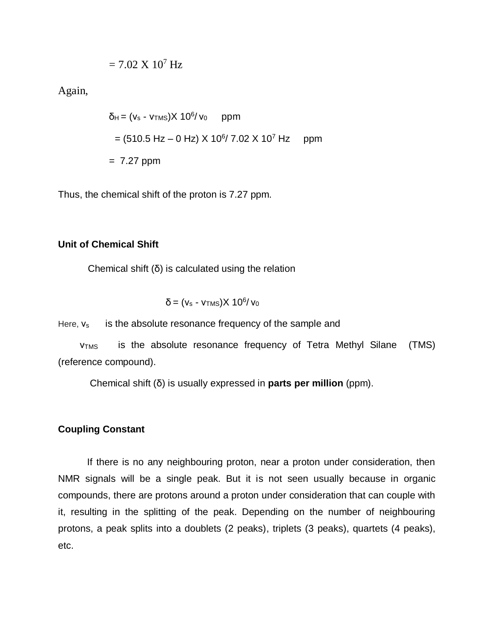$$
= 7.02 \text{ X } 10^7 \text{ Hz}
$$

Again,

 $\delta_{\sf H}$  = (v $_{\sf s}$  - v $_{\sf TMS}$ )X 10 $^{\sf 6}$ / v $_{\sf 0}$  ppm  $=$  (510.5 Hz – 0 Hz) X 10<sup>6</sup>/ 7.02 X 10<sup>7</sup> Hz ppm  $= 7.27$  ppm

Thus, the chemical shift of the proton is 7.27 ppm.

### **Unit of Chemical Shift**

Chemical shift (δ) is calculated using the relation

$$
\delta = (v_s - v_{TMS})X\ 10^6/v_0
$$

Here,  $v_s$  is the absolute resonance frequency of the sample and

 νTMS is the absolute resonance frequency of Tetra Methyl Silane (TMS) (reference compound).

Chemical shift (δ) is usually expressed in **parts per million** (ppm).

# **Coupling Constant**

If there is no any neighbouring proton, near a proton under consideration, then NMR signals will be a single peak. But it is not seen usually because in organic compounds, there are protons around a proton under consideration that can couple with it, resulting in the splitting of the peak. Depending on the number of neighbouring protons, a peak splits into a doublets (2 peaks), triplets (3 peaks), quartets (4 peaks), etc.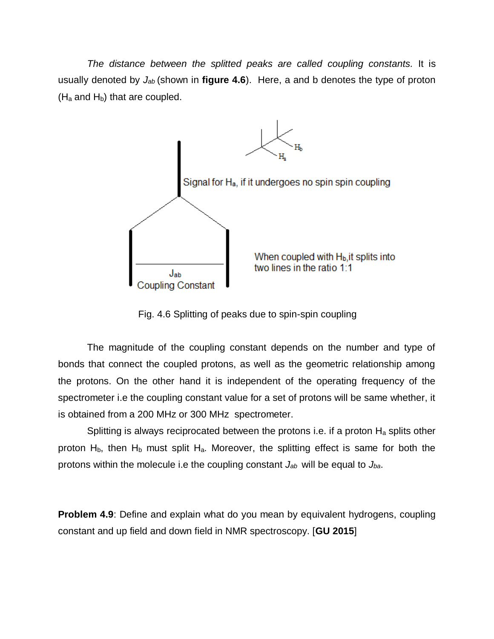*The distance between the splitted peaks are called coupling constants.* It is usually denoted by *Jab* (shown in **figure 4.6**). Here, a and b denotes the type of proton  $(H_a$  and  $H_b)$  that are coupled.



Fig. 4.6 Splitting of peaks due to spin-spin coupling

The magnitude of the coupling constant depends on the number and type of bonds that connect the coupled protons, as well as the geometric relationship among the protons. On the other hand it is independent of the operating frequency of the spectrometer i.e the coupling constant value for a set of protons will be same whether, it is obtained from a 200 MHz or 300 MHz spectrometer.

Splitting is always reciprocated between the protons i.e. if a proton  $H_a$  splits other proton  $H_b$ , then  $H_b$  must split  $H_a$ . Moreover, the splitting effect is same for both the protons within the molecule i.e the coupling constant *Jab* will be equal to *Jba*.

**Problem 4.9**: Define and explain what do you mean by equivalent hydrogens, coupling constant and up field and down field in NMR spectroscopy. [**GU 2015**]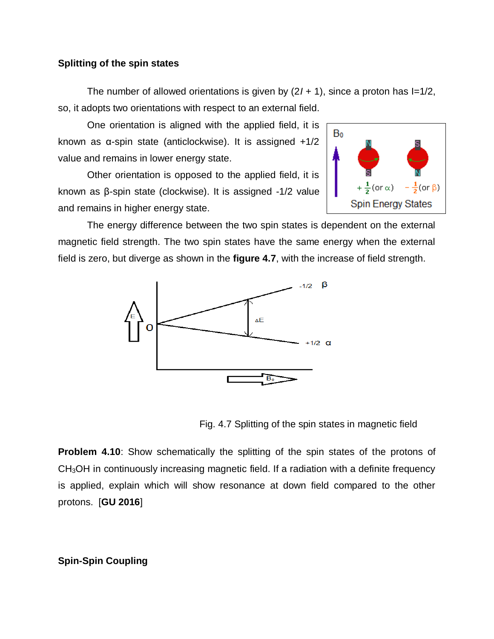## **Splitting of the spin states**

The number of allowed orientations is given by  $(2*I* + 1)$ , since a proton has  $I=1/2$ , so, it adopts two orientations with respect to an external field.

One orientation is aligned with the applied field, it is known as α-spin state (anticlockwise). It is assigned +1/2 value and remains in lower energy state.

Other orientation is opposed to the applied field, it is known as β-spin state (clockwise). It is assigned -1/2 value and remains in higher energy state.



The energy difference between the two spin states is dependent on the external magnetic field strength. The two spin states have the same energy when the external field is zero, but diverge as shown in the **figure 4.7**, with the increase of field strength.



Fig. 4.7 Splitting of the spin states in magnetic field

**Problem 4.10**: Show schematically the splitting of the spin states of the protons of CH3OH in continuously increasing magnetic field. If a radiation with a definite frequency is applied, explain which will show resonance at down field compared to the other protons. [**GU 2016**]

**Spin-Spin Coupling**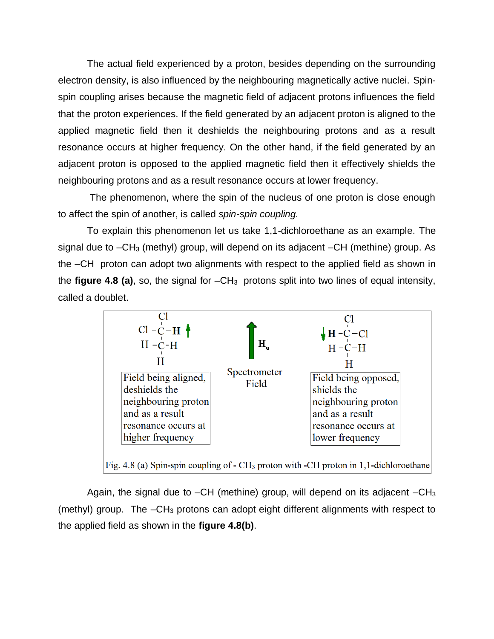The actual field experienced by a proton, besides depending on the surrounding electron density, is also influenced by the neighbouring magnetically active nuclei. Spinspin coupling arises because the magnetic field of adjacent protons influences the field that the proton experiences. If the field generated by an adjacent proton is aligned to the applied magnetic field then it deshields the neighbouring protons and as a result resonance occurs at higher frequency. On the other hand, if the field generated by an adjacent proton is opposed to the applied magnetic field then it effectively shields the neighbouring protons and as a result resonance occurs at lower frequency.

The phenomenon, where the spin of the nucleus of one proton is close enough to affect the spin of another, is called *spin-spin coupling.* 

To explain this phenomenon let us take 1,1-dichloroethane as an example. The signal due to  $-CH_3$  (methyl) group, will depend on its adjacent  $-CH$  (methine) group. As the –CH proton can adopt two alignments with respect to the applied field as shown in the **figure 4.8 (a)**, so, the signal for  $-CH_3$  protons split into two lines of equal intensity, called a doublet.



Fig. 4.8 (a) Spin-spin coupling of - CH<sub>3</sub> proton with -CH proton in 1,1-dichloroethane

Again, the signal due to  $-CH$  (methine) group, will depend on its adjacent  $-CH_3$ (methyl) group. The  $-CH_3$  protons can adopt eight different alignments with respect to the applied field as shown in the **figure 4.8(b)**.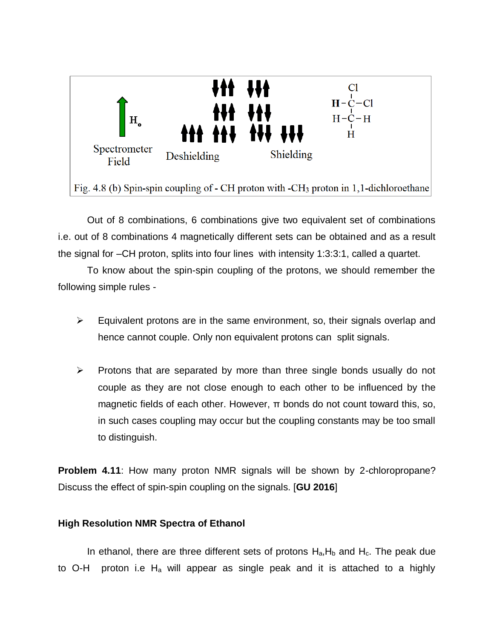

Out of 8 combinations, 6 combinations give two equivalent set of combinations i.e. out of 8 combinations 4 magnetically different sets can be obtained and as a result the signal for –CH proton, splits into four lines with intensity 1:3:3:1, called a quartet.

To know about the spin-spin coupling of the protons, we should remember the following simple rules -

- $\triangleright$  Equivalent protons are in the same environment, so, their signals overlap and hence cannot couple. Only non equivalent protons can split signals.
- $\triangleright$  Protons that are separated by more than three single bonds usually do not couple as they are not close enough to each other to be influenced by the magnetic fields of each other. However, π bonds do not count toward this, so, in such cases coupling may occur but the coupling constants may be too small to distinguish.

**Problem 4.11**: How many proton NMR signals will be shown by 2-chloropropane? Discuss the effect of spin-spin coupling on the signals. [**GU 2016**]

### **High Resolution NMR Spectra of Ethanol**

In ethanol, there are three different sets of protons  $H_a$ ,  $H_b$  and  $H_c$ . The peak due to O-H proton i.e  $H_a$  will appear as single peak and it is attached to a highly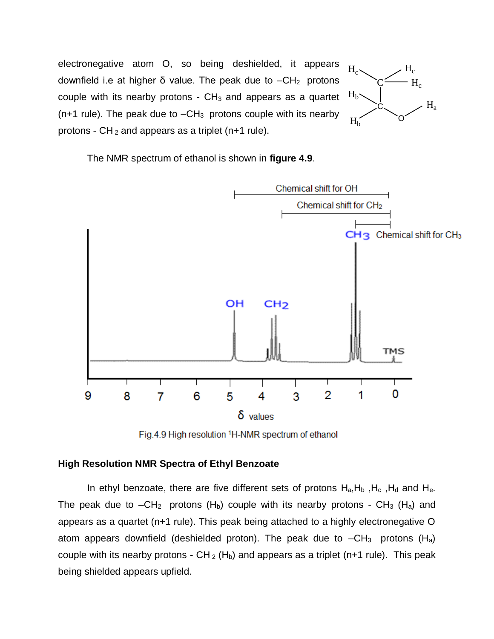electronegative atom O, so being deshielded, it appears downfield i.e at higher δ value. The peak due to  $-CH_2$  protons couple with its nearby protons  $\sim$  CH<sub>3</sub> and appears as a quartet  $(n+1)$  rule). The peak due to  $-CH_3$  protons couple with its nearby protons -  $CH_2$  and appears as a triplet (n+1 rule).



The NMR spectrum of ethanol is shown in **figure 4.9**.



Fig.4.9 High resolution <sup>1</sup>H-NMR spectrum of ethanol

### **High Resolution NMR Spectra of Ethyl Benzoate**

In ethyl benzoate, there are five different sets of protons  $H_a, H_b, H_c, H_d$  and  $H_e$ . The peak due to  $-CH_2$  protons (H<sub>b</sub>) couple with its nearby protons - CH<sub>3</sub> (H<sub>a</sub>) and appears as a quartet (n+1 rule). This peak being attached to a highly electronegative O atom appears downfield (deshielded proton). The peak due to  $-CH_3$  protons (H<sub>a</sub>) couple with its nearby protons -  $CH_2(H_b)$  and appears as a triplet (n+1 rule). This peak being shielded appears upfield.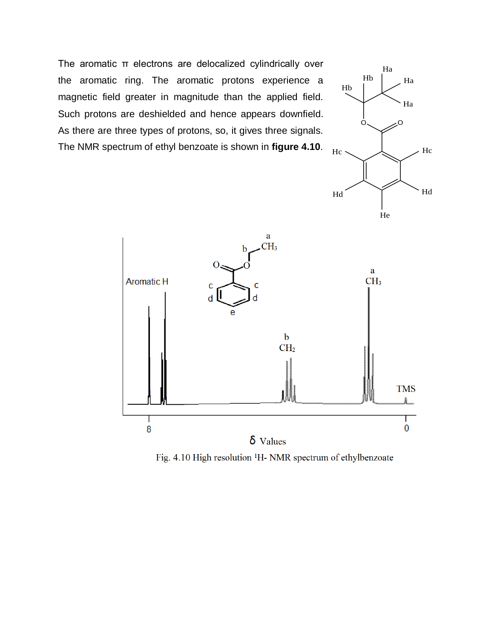The aromatic π electrons are delocalized cylindrically over the aromatic ring. The aromatic protons experience a magnetic field greater in magnitude than the applied field. Such protons are deshielded and hence appears downfield. As there are three types of protons, so, it gives three signals. The NMR spectrum of ethyl benzoate is shown in **figure 4.10**.





Fig. 4.10 High resolution <sup>1</sup>H- NMR spectrum of ethylbenzoate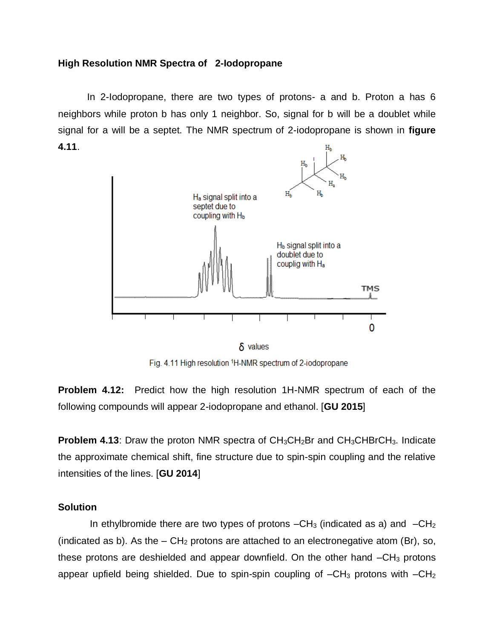### **High Resolution NMR Spectra of 2-Iodopropane**

In 2-Iodopropane, there are two types of protons- a and b. Proton a has 6 neighbors while proton b has only 1 neighbor. So, signal for b will be a doublet while signal for a will be a septet. The NMR spectrum of 2-iodopropane is shown in **figure 4.11**.



 $\delta$  values

Fig. 4.11 High resolution 1H-NMR spectrum of 2-iodopropane

**Problem 4.12:** Predict how the high resolution 1H-NMR spectrum of each of the following compounds will appear 2-iodopropane and ethanol. [**GU 2015**]

**Problem 4.13:** Draw the proton NMR spectra of CH<sub>3</sub>CH<sub>2</sub>Br and CH<sub>3</sub>CHBrCH<sub>3</sub>. Indicate the approximate chemical shift, fine structure due to spin-spin coupling and the relative intensities of the lines. [**GU 2014**]

### **Solution**

In ethylbromide there are two types of protons  $-CH_3$  (indicated as a) and  $-CH_2$ (indicated as b). As the  $-$  CH<sub>2</sub> protons are attached to an electronegative atom (Br), so, these protons are deshielded and appear downfield. On the other hand  $-CH_3$  protons appear upfield being shielded. Due to spin-spin coupling of  $-CH_3$  protons with  $-CH_2$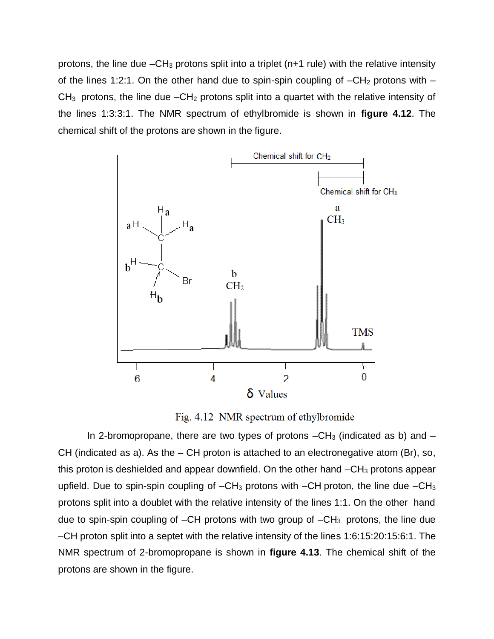protons, the line due  $-CH_3$  protons split into a triplet (n+1 rule) with the relative intensity of the lines 1:2:1. On the other hand due to spin-spin coupling of  $-CH<sub>2</sub>$  protons with  $CH<sub>3</sub>$  protons, the line due  $-CH<sub>2</sub>$  protons split into a quartet with the relative intensity of the lines 1:3:3:1. The NMR spectrum of ethylbromide is shown in **figure 4.12**. The chemical shift of the protons are shown in the figure.



Fig. 4.12 NMR spectrum of ethylbromide

In 2-bromopropane, there are two types of protons  $-CH_3$  (indicated as b) and  $-$ CH (indicated as a). As the  $-$  CH proton is attached to an electronegative atom (Br), so, this proton is deshielded and appear downfield. On the other hand  $-CH<sub>3</sub>$  protons appear upfield. Due to spin-spin coupling of  $-CH_3$  protons with  $-CH$  proton, the line due  $-CH_3$ protons split into a doublet with the relative intensity of the lines 1:1. On the other hand due to spin-spin coupling of  $-CH$  protons with two group of  $-CH_3$  protons, the line due –CH proton split into a septet with the relative intensity of the lines 1:6:15:20:15:6:1. The NMR spectrum of 2-bromopropane is shown in **figure 4.13**. The chemical shift of the protons are shown in the figure.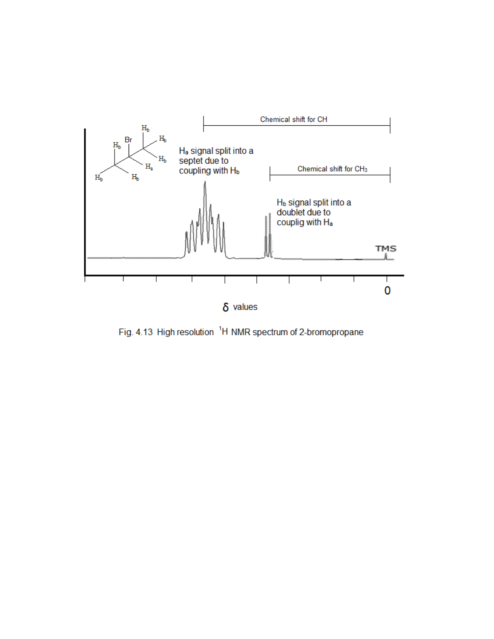

Fig. 4.13 High resolution <sup>1</sup>H NMR spectrum of 2-bromopropane